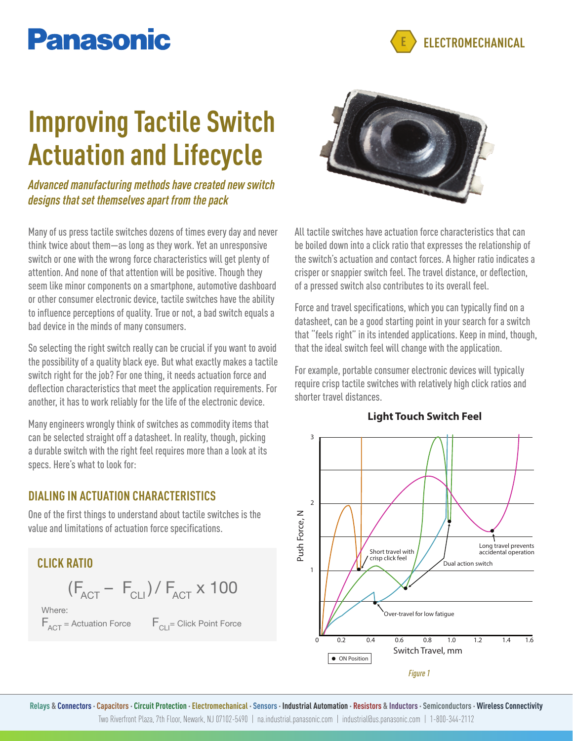## **Panasonic**

**ELECTROMECHANICAL**

# **Improving Tactile Switch Actuation and Lifecycle**

*Advanced manufacturing methods have created new switch designs that set themselves apart from the pack*

Many of us press tactile switches dozens of times every day and never think twice about them—as long as they work. Yet an unresponsive switch or one with the wrong force characteristics will get plenty of attention. And none of that attention will be positive. Though they seem like minor components on a smartphone, automotive dashboard or other consumer electronic device, tactile switches have the ability to influence perceptions of quality. True or not, a bad switch equals a bad device in the minds of many consumers.

So selecting the right switch really can be crucial if you want to avoid the possibility of a quality black eye. But what exactly makes a tactile switch right for the job? For one thing, it needs actuation force and deflection characteristics that meet the application requirements. For another, it has to work reliably for the life of the electronic device.

Many engineers wrongly think of switches as commodity items that can be selected straight off a datasheet. In reality, though, picking a durable switch with the right feel requires more than a look at its specs. Here's what to look for:

#### **DIALING IN ACTUATION CHARACTERISTICS**

One of the first things to understand about tactile switches is the value and limitations of actuation force specifications.



 $F_{\text{ACT}}$  = Actuation Force  $F_{\text{CH}}$  = Click Point Force



All tactile switches have actuation force characteristics that can be boiled down into a click ratio that expresses the relationship of the switch's actuation and contact forces. A higher ratio indicates a crisper or snappier switch feel. The travel distance, or deflection, of a pressed switch also contributes to its overall feel.

Force and travel specifications, which you can typically find on a datasheet, can be a good starting point in your search for a switch that "feels right" in its intended applications. Keep in mind, though, that the ideal switch feel will change with the application.

For example, portable consumer electronic devices will typically require crisp tactile switches with relatively high click ratios and shorter travel distances.



#### **Light Touch Switch Feel**

Relays & Connectors · Capacitors · Circuit Protection · Electromechanical · Sensors · Industrial Automation · Resistors & Inductors · Semiconductors · Wireless Connectivity Two Riverfront Plaza, 7th Floor, Newark, NJ 07102-5490 | na.industrial.panasonic.com | industrial@us.panasonic.com | 1-800-344-2112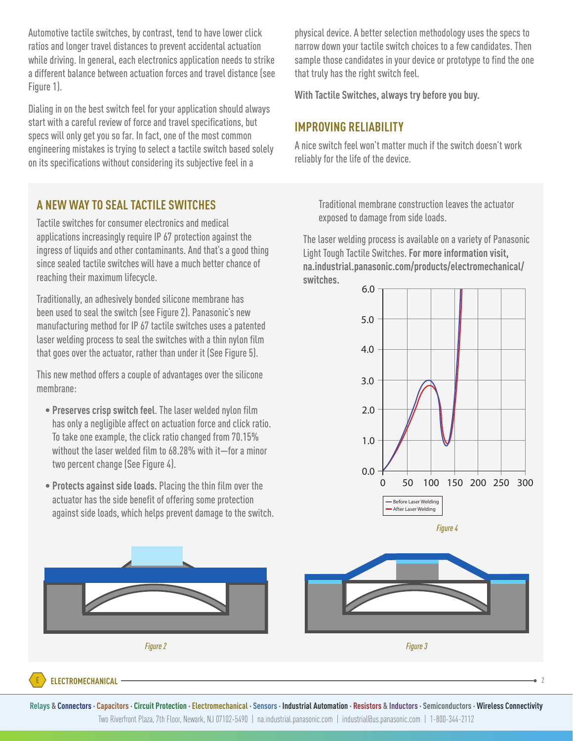Automotive tactile switches, by contrast, tend to have lower click ratios and longer travel distances to prevent accidental actuation while driving. In general, each electronics application needs to strike a different balance between actuation forces and travel distance (see Figure 1).

Dialing in on the best switch feel for your application should always start with a careful review of force and travel specifications, but specs will only get you so far. In fact, one of the most common engineering mistakes is trying to select a tactile switch based solely on its specifications without considering its subjective feel in a

#### **A NEW WAY TO SEAL TACTILE SWITCHES**

Tactile switches for consumer electronics and medical applications increasingly require IP 67 protection against the ingress of liquids and other contaminants. And that's a good thing since sealed tactile switches will have a much better chance of reaching their maximum lifecycle.

Traditionally, an adhesively bonded silicone membrane has been used to seal the switch (see Figure 2). Panasonic's new manufacturing method for IP 67 tactile switches uses a patented laser welding process to seal the switches with a thin nylon film that goes over the actuator, rather than under it (See Figure 5).

This new method offers a couple of advantages over the silicone membrane:

- **Preserves crisp switch feel**. The laser welded nylon film has only a negligible affect on actuation force and click ratio. To take one example, the click ratio changed from 70.15% without the laser welded film to 68.28% with it—for a minor two percent change (See Figure 4).
- **Protects against side loads.** Placing the thin film over the actuator has the side benefit of offering some protection against side loads, which helps prevent damage to the switch.

physical device. A better selection methodology uses the specs to narrow down your tactile switch choices to a few candidates. Then sample those candidates in your device or prototype to find the one that truly has the right switch feel.

**With Tactile Switches, always try before you buy.**

#### **IMPROVING RELIABILITY**

A nice switch feel won't matter much if the switch doesn't work reliably for the life of the device.

> Traditional membrane construction leaves the actuator exposed to damage from side loads.

The laser welding process is available on a variety of Panasonic Light Tough Tactile Switches. **For more information visit, na.industrial.panasonic.com/products/electromechanical/ switches.**





Relays & Connectors · Capacitors · Circuit Protection · Electromechanical · Sensors · Industrial Automation · Resistors & Inductors · Semiconductors · Wireless Connectivity Two Riverfront Plaza, 7th Floor, Newark, NJ 07102-5490 | na.industrial.panasonic.com | industrial@us.panasonic.com | 1-800-344-2112